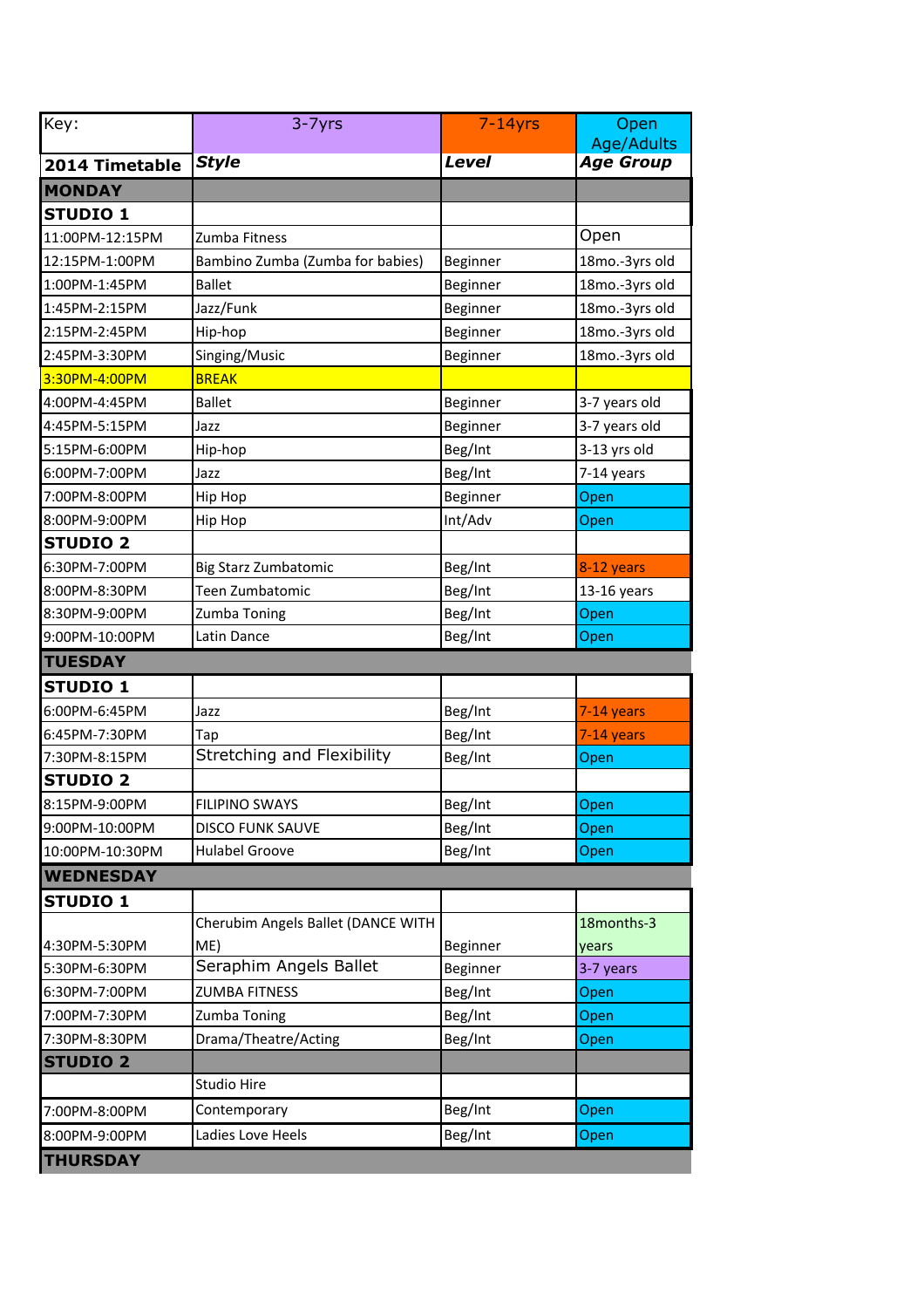| Key:             | $3 - 7$ yrs                        | $7-14$ yrs   | Open<br><b>Age/Adults</b> |
|------------------|------------------------------------|--------------|---------------------------|
| 2014 Timetable   | <b>Style</b>                       | <b>Level</b> | <b>Age Group</b>          |
| <b>MONDAY</b>    |                                    |              |                           |
| <b>STUDIO 1</b>  |                                    |              |                           |
| 11:00PM-12:15PM  | Zumba Fitness                      |              | Open                      |
| 12:15PM-1:00PM   | Bambino Zumba (Zumba for babies)   | Beginner     | 18mo.-3yrs old            |
| 1:00PM-1:45PM    | <b>Ballet</b>                      | Beginner     | 18mo.-3yrs old            |
| 1:45PM-2:15PM    | Jazz/Funk                          | Beginner     | 18mo.-3yrs old            |
| 2:15PM-2:45PM    | Hip-hop                            | Beginner     | 18mo.-3yrs old            |
| 2:45PM-3:30PM    | Singing/Music                      | Beginner     | 18mo.-3yrs old            |
| 3:30PM-4:00PM    | <b>BREAK</b>                       |              |                           |
| 4:00PM-4:45PM    | <b>Ballet</b>                      | Beginner     | 3-7 years old             |
| 4:45PM-5:15PM    | Jazz                               | Beginner     | 3-7 years old             |
| 5:15PM-6:00PM    | Hip-hop                            | Beg/Int      | 3-13 yrs old              |
| 6:00PM-7:00PM    | Jazz                               | Beg/Int      | 7-14 years                |
| 7:00PM-8:00PM    | Hip Hop                            | Beginner     | Open                      |
| 8:00PM-9:00PM    | Hip Hop                            | Int/Adv      | Open                      |
| <b>STUDIO 2</b>  |                                    |              |                           |
| 6:30PM-7:00PM    | Big Starz Zumbatomic               | Beg/Int      | 8-12 years                |
| 8:00PM-8:30PM    | Teen Zumbatomic                    | Beg/Int      | 13-16 years               |
| 8:30PM-9:00PM    | Zumba Toning                       | Beg/Int      | Open                      |
| 9:00PM-10:00PM   | Latin Dance                        | Beg/Int      | Open                      |
| <b>TUESDAY</b>   |                                    |              |                           |
| <b>STUDIO 1</b>  |                                    |              |                           |
| 6:00PM-6:45PM    | Jazz                               | Beg/Int      | 7-14 years                |
| 6:45PM-7:30PM    | Tap                                | Beg/Int      | 7-14 years                |
| 7:30PM-8:15PM    | Stretching and Flexibility         | Beg/Int      | Open                      |
| <b>STUDIO 2</b>  |                                    |              |                           |
| 8:15PM-9:00PM    | <b>FILIPINO SWAYS</b>              | Beg/Int      | Open                      |
| 9:00PM-10:00PM   | <b>DISCO FUNK SAUVE</b>            | Beg/Int      | Open                      |
| 10:00PM-10:30PM  | <b>Hulabel Groove</b>              | Beg/Int      | Open                      |
| <b>WEDNESDAY</b> |                                    |              |                           |
| <b>STUDIO 1</b>  |                                    |              |                           |
|                  | Cherubim Angels Ballet (DANCE WITH |              | 18months-3                |
| 4:30PM-5:30PM    | ME)                                | Beginner     | years                     |
| 5:30PM-6:30PM    | Seraphim Angels Ballet             | Beginner     | 3-7 years                 |
| 6:30PM-7:00PM    | <b>ZUMBA FITNESS</b>               | Beg/Int      | Open                      |
| 7:00PM-7:30PM    | Zumba Toning                       | Beg/Int      | Open                      |
| 7:30PM-8:30PM    | Drama/Theatre/Acting               | Beg/Int      | Open                      |
| <b>STUDIO 2</b>  |                                    |              |                           |
|                  | Studio Hire                        |              |                           |
| 7:00PM-8:00PM    | Contemporary                       | Beg/Int      | Open                      |
| 8:00PM-9:00PM    | Ladies Love Heels                  | Beg/Int      | Open                      |
| <b>THURSDAY</b>  |                                    |              |                           |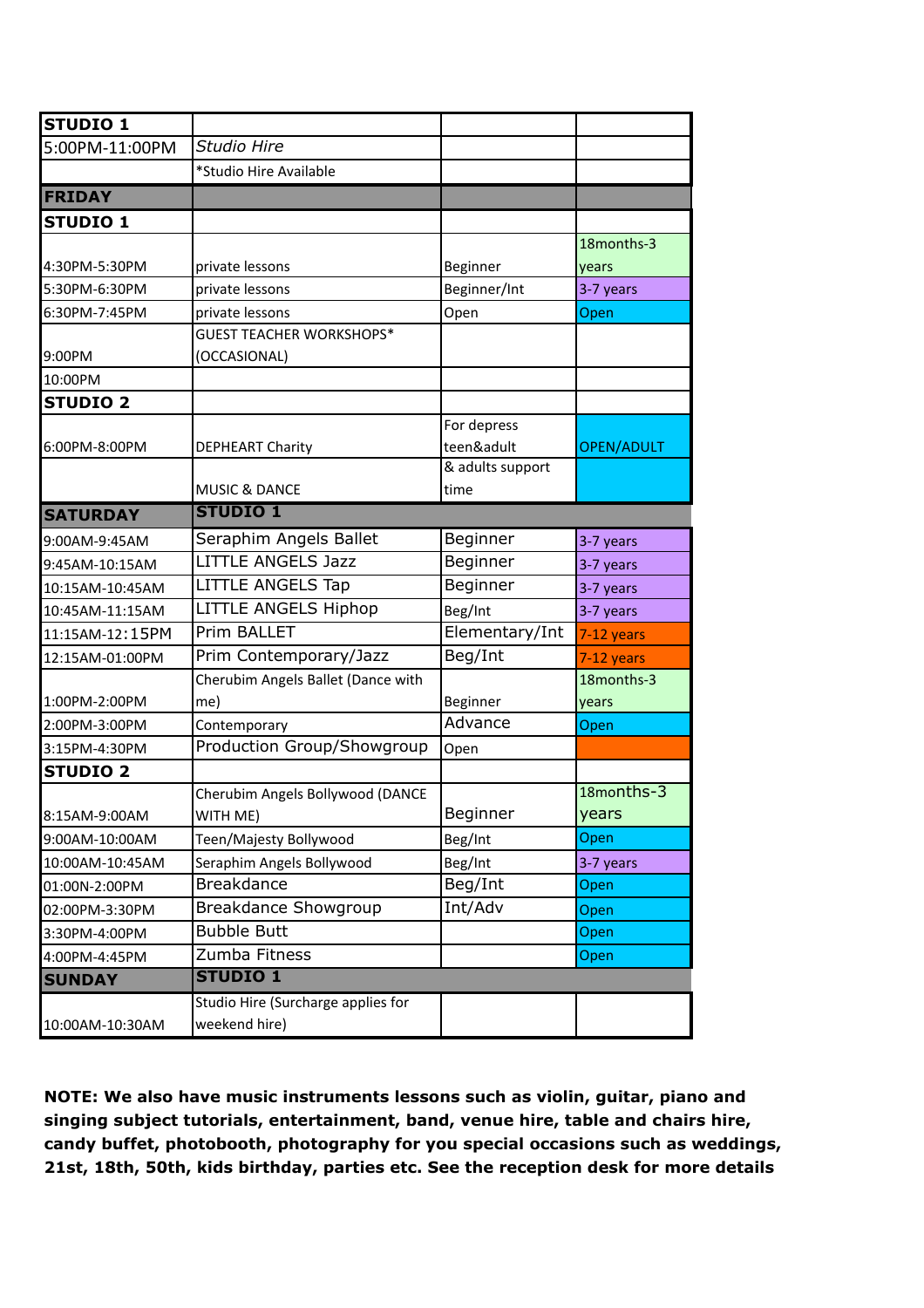| <b>STUDIO 1</b> |                                    |                  |                   |
|-----------------|------------------------------------|------------------|-------------------|
| 5:00PM-11:00PM  | Studio Hire                        |                  |                   |
|                 | *Studio Hire Available             |                  |                   |
| <b>FRIDAY</b>   |                                    |                  |                   |
| <b>STUDIO 1</b> |                                    |                  |                   |
|                 |                                    |                  | 18months-3        |
| 4:30PM-5:30PM   | private lessons                    | Beginner         | years             |
| 5:30PM-6:30PM   | private lessons                    | Beginner/Int     | 3-7 years         |
| 6:30PM-7:45PM   | private lessons                    | Open             | Open              |
|                 | <b>GUEST TEACHER WORKSHOPS*</b>    |                  |                   |
| 9:00PM          | (OCCASIONAL)                       |                  |                   |
| 10:00PM         |                                    |                  |                   |
| <b>STUDIO 2</b> |                                    |                  |                   |
|                 |                                    | For depress      |                   |
| 6:00PM-8:00PM   | <b>DEPHEART Charity</b>            | teen&adult       | <b>OPEN/ADULT</b> |
|                 |                                    | & adults support |                   |
|                 | <b>MUSIC &amp; DANCE</b>           | time             |                   |
| <b>SATURDAY</b> | <b>STUDIO 1</b>                    |                  |                   |
| 9:00AM-9:45AM   | Seraphim Angels Ballet             | Beginner         | 3-7 years         |
| 9:45AM-10:15AM  | <b>LITTLE ANGELS Jazz</b>          | Beginner         | 3-7 years         |
| 10:15AM-10:45AM | <b>LITTLE ANGELS Tap</b>           | Beginner         | 3-7 years         |
| 10:45AM-11:15AM | <b>LITTLE ANGELS Hiphop</b>        | Beg/Int          | 3-7 years         |
| 11:15AM-12:15PM | Prim BALLET                        | Elementary/Int   | 7-12 years        |
| 12:15AM-01:00PM | Prim Contemporary/Jazz             | Beg/Int          | 7-12 years        |
|                 | Cherubim Angels Ballet (Dance with |                  | 18months-3        |
| 1:00PM-2:00PM   | me)                                | Beginner         | years             |
| 2:00PM-3:00PM   | Contemporary                       | Advance          | Open              |
| 3:15PM-4:30PM   | Production Group/Showgroup         | Open             |                   |
| <b>STUDIO 2</b> |                                    |                  |                   |
|                 | Cherubim Angels Bollywood (DANCE   |                  | 18months-3        |
| 8:15AM-9:00AM   | WITH ME)                           | Beginner         | years             |
| 9:00AM-10:00AM  | Teen/Majesty Bollywood             | Beg/Int          | Open              |
| 10:00AM-10:45AM | Seraphim Angels Bollywood          | Beg/Int          | 3-7 years         |
| 01:00N-2:00PM   | <b>Breakdance</b>                  | Beg/Int          | Open              |
| 02:00PM-3:30PM  | Breakdance Showgroup               | Int/Adv          | Open              |
| 3:30PM-4:00PM   | <b>Bubble Butt</b>                 |                  | Open              |
| 4:00PM-4:45PM   | Zumba Fitness                      |                  | Open              |
| <b>SUNDAY</b>   | <b>STUDIO 1</b>                    |                  |                   |
|                 | Studio Hire (Surcharge applies for |                  |                   |
| 10:00AM-10:30AM | weekend hire)                      |                  |                   |

**NOTE: We also have music instruments lessons such as violin, guitar, piano and singing subject tutorials, entertainment, band, venue hire, table and chairs hire, candy buffet, photobooth, photography for you special occasions such as weddings, 21st, 18th, 50th, kids birthday, parties etc. See the reception desk for more details**